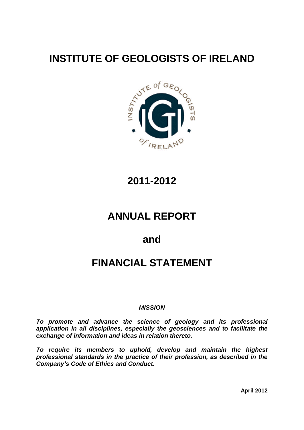# **INSTITUTE OF GEOLOGISTS OF IRELAND**



**2011-2012**

# **ANNUAL REPORT**

**and**

# **FINANCIAL STATEMENT**

#### **MISSION**

**To promote and advance the science of geology and its professional application in all disciplines, especially the geosciences and to facilitate the exchange of information and ideas in relation thereto.**

**To require its members to uphold, develop and maintain the highest professional standards in the practice of their profession, as described in the** To require its members to uphold, dev<br>professional standards in the practice of the<br>Company's Code of Ethics and Conduct.

**April 2012**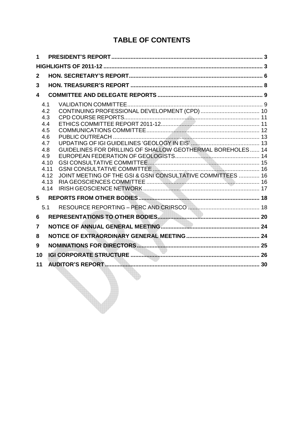# **TABLE OF CONTENTS**

| I ABLE UF GUNTENTS                                                                                                                                                                                                               |  |
|----------------------------------------------------------------------------------------------------------------------------------------------------------------------------------------------------------------------------------|--|
| $\mathbf 1$                                                                                                                                                                                                                      |  |
|                                                                                                                                                                                                                                  |  |
| $\mathbf{2}$                                                                                                                                                                                                                     |  |
| 3                                                                                                                                                                                                                                |  |
| 4                                                                                                                                                                                                                                |  |
| 4.1<br>4.2<br>4.3<br>4.4<br>4.5<br>4.6<br>4.7<br>GUIDELINES FOR DRILLING OF SHALLOW GEOTHERMAL BOREHOLES 14<br>4.8<br>4.9<br>4.10<br>4.11<br>JOINT MEETING OF THE GSI & GSNI CONSULTATIVE COMMITTEES  16<br>4.12<br>4.13<br>4.14 |  |
| 5                                                                                                                                                                                                                                |  |
| 5.1                                                                                                                                                                                                                              |  |
| 6                                                                                                                                                                                                                                |  |
| 7                                                                                                                                                                                                                                |  |
| 8                                                                                                                                                                                                                                |  |
| 9                                                                                                                                                                                                                                |  |
| 10                                                                                                                                                                                                                               |  |
| 11                                                                                                                                                                                                                               |  |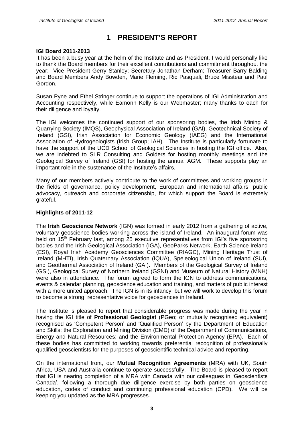# **<sup>1</sup> PRESIDENTí<sup>S</sup> REPORT**

#### **IGI Board 2011-2013**

It has been a busy year at the helm of the Institute and as President, I would personally like to thank the Board members for their excellent contributions and commitment throughout the year: Vice President Gerry Stanley; Secretary Jonathan Derham; Treasurer Barry Balding and Board Members Andy Bowden, Marie Fleming, Ric Pasquali, Bruce Misstear and Paul Gordon.

Susan Pyne and Ethel Stringer continue to support the operations of IGI Administration and Accounting respectively, while Eamonn Kelly is our Webmaster; many thanks to each for their diligence and loyalty.

The IGI welcomes the continued support of our sponsoring bodies, the Irish Mining & Quarrying Society (IMQS), Geophysical Association of Ireland (GAI), Geotechnical Society of Ireland (GSI), Irish Association for Economic Geology (IAEG) and the International Association of Hydrogeologists (Irish Group; IAH). The Institute is particularly fortunate to have the support of the UCD School of Geological Sciences in hosting the IGI office. Also, we are indebted to SLR Consulting and Golders for hosting monthly meetings and the Geological Survey of Ireland (GSI) for hosting the annual AGM. These supports play an Increase indebted to SLR Consulting and Golders for hose<br>Geological Survey of Ireland (GSI) for hosting the annual<br>important role in the sustenance of the Institute's affairs.

Many of our members actively contribute to the work of committees and working groups in the fields of governance, policy development, European and international affairs, public advocacy, outreach and corporate citizenship, for which support the Board is extremely grateful.

#### **Highlights of 2011-12**

The **Irish Geoscience Network** (IGN) was formed in early 2012 from a gathering of active, voluntary geoscience bodies working across the island of Ireland. An inaugural forum was held on 15<sup>th</sup> February last, among 25 executive representatives from IGI's five sponsoring **Geoscience Network** (IGN) was formed in early 2012 from a gathering of active,<br>eoscience bodies working across the island of Ireland. An inaugural forum was<br><sup>th</sup> February last, among 25 executive representatives from IGI' bodies and the Irish Geological Association (IGA), GeoParks Network, Earth Science Ireland (ESI), Royal Irish Academy Geosciences Committee (RIAGC), Mining Heritage Trust of Ireland (MHTI), Irish Quaternary Association (IQUA), Speleological Union of Ireland (SUI), and Geothermal Association of Ireland (GAI). Members of the Geological Survey of Ireland (GSI), Geological Survey of Northern Ireland (GSNI) and Museum of Natural History (MNH) were also in attendance. The forum agreed to form the IGN to address communications, events & calendar planning, geoscience education and training, and matters of public interest with a more united approach. The IGN is in its infancy, but we will work to develop this forum to become a strong, representative voice for geosciences in Ireland.

The Institute is pleased to report that considerable progress was made during the year in having the IGI title of **Professional Geologist** (PGeo; or mutually recognised equivalent) recognised as 'Competent Person' and 'Qualified Person' by the Department of Education and Skills; the Exploration and Mining Division (EMD) of the Department of Communications, Energy and Natural Resources; and the Environmental Protection Agency (EPA). Each of these bodies has committed to working towards preferential recognition of professionally qualified geoscientists for the purposes of geoscientific technical advice and reporting.

On the international front, our **Mutual Recognition Agreements** (MRA) with UK, South Africa, USA and Australia continue to operate successfully. The Board is pleased to report On the international front, our **Mutual Recognition Agreements** (MRA) with UK, South<br>Africa, USA and Australia continue to operate successfully. The Board is pleased to report<br>that IGI is nearing completion of a MRA with C Africa, USA and Australia continue to operate successfully. The Board is pleased to report<br>that IGI is nearing completion of a MRA with Canada with our colleagues in 'Geoscientists<br>Canada', following a thorough due diligen education, codes of conduct and continuing professional education (CPD). We will be keeping you updated as the MRA progresses.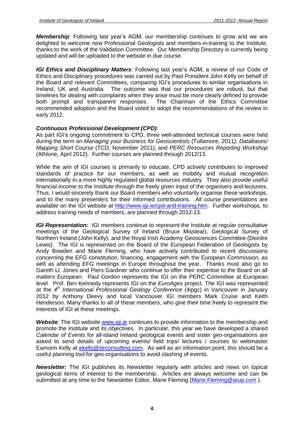**Membership**: Following last year's AGM, our membership continues to grow and we are delighted to welcome new Professional Geologists and members-in-training to the Institute, thanks to the work of the Validation Committee. Our Membership Directory is currently being updated and will be uploaded to the website in due course. **IGI Ethics and Disciplinary Matters**: Following last yearís AGM, <sup>a</sup> review of our Code of

Ethics and Disciplinary procedures was carried out by Past President John Kelly on behalf of *IGI Ethics and Disciplinary Matters*: Following last year's AGM, a review of our Code of<br>Ethics and Disciplinary procedures was carried out by Past President John Kelly on behalf of<br>the Board and relevant Committees, comp Ireland, UK and Australia. The outcome was that our procedures are robust, but that timelines for dealing with complaints when they arise must be more clearly defined to provide both prompt and transparent responses. The Chairman of the Ethics Committee recommended adoption and the Board voted to adopt the recommendations of the review in early 2012.

#### **Continuous Professional Development (CPD)**:

As part IGIís ongoing commitment to CPD, three well-attended technical courses were held during the term on Managing your Business for Geoscientists (Tullamore, 2011); Databases/ Mapping Short Course (TCD, November 2011); and PERC Resources Reporting Workshop (Athlone, April 2012). Further courses are planned through 2012/13.

While the aim of IGI courses is primarily to educate, CPD actively contributes to improved standards of practice for our members, as well as mobility and mutual recognition internationally in a more highly regulated global resources industry. They also provide useful financial income to the Institute through the freely given input of the organisers and lecturers. Thus, I would sincerely thank our Board members who voluntarily organise these workshops, and to the many presenters for their informed contributions. All course presentations are available on the IGI website at [http://www.igi.ie/cpd-and-training.htm.](http://www.igi.ie/cpd-and-training.htm) Further workshops, to address training needs of members, are planned through 2012-13.

**IGI Representation:** IGI members continue to represent the Institute at regular consultative meetings of the Geological Survey of Ireland (Bruce Misstear), Geological Survey of Northern Ireland (John Kelly), and the Royal Irish Academy Geosciences Committee (Deirdre Lewis). The IGI is represented on the Board of the European Federation of Geologists by Andy Bowden and Marie Fleming, who have actively contributed to recent discussions concerning the EFG constitution, financing, engagement with the European Commission, as well as attending EFG meetings in Europe throughout the year. Thanks must also go to Gareth Ll. Jones and Piers Gardiner who continue to offer their expertise to the Board on all matters European. Paul Gordon represents the IGI on the PERC Committee at European level. Prof. Ben Kennedy represents IGI on the EuroAges project. The IGI was represented at the 4<sup>th</sup> International Professional Geology Conference (4ipgc) in Vancouver in January 2012 by Anthony Deevy and local Vancouver IGI members Mark Cruise and Keith Henderson. Many thanks to all of these members, who give their time freely to represent the interests of IGI at these meetings.

**Website**: The IGI website [www.igi.ie](http://www.igi.ie) continues to provide information to the membership and promote the Institute and its objectives. In particular, this year we have developed a shared Calendar of Events for all-island Ireland geological events and sister geo-organisations are asked to send details of upcoming events/ field trips/ lectures / courses to webmaster Eamonn Kelly at [ekelly@slrconsulting.com.](mailto:ekelly@slrconsulting.com) As well as an information point, this should be a useful planning tool for geo-organisations to avoid clashing of events.

**Newsletter:** The IGI publishes its Newsletter regularly with articles and news on topical geological items of interest to the membership. Articles are always welcome and can be submitted at any time to the Newsletter Editor, Marie Fleming (Marie Fleming@arup.com).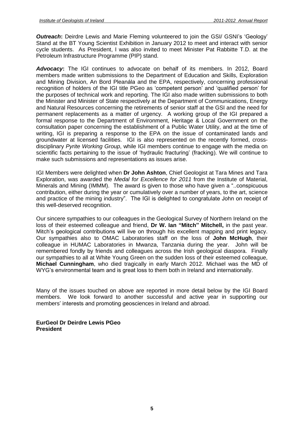**Outreach:** Deirdre Lewis and Marie Fleming volunteered to join the GSI/ GSNI's 'Geology' Stand at the BT Young Scientist Exhibition in January 2012 to meet and interact with senior cycle students. As President, I was also invited to meet Minister Pat Rabbitte T.D. at the Petroleum Infrastructure Programme (PIP) stand.

**Advocacy:** The IGI continues to advocate on behalf of its members. In 2012, Board members made written submissions to the Department of Education and Skills, Exploration Advocacy: The IGI continues to advocate on behalf of its members. In 2012, Board<br>members made written submissions to the Department of Education and Skills, Exploration<br>and Mining Division, An Bord Pleanála and the EPA, re rembers made written submissions to the Department of Education and Skills, Exploration<br>and Mining Division, An Bord Pleanála and the EPA, respectively, concerning professional<br>recognition of holders of the IGI title PGeo the purposes of technical work and reporting. The IGI also made written submissions to both the Minister and Minister of State respectively at the Department of Communications, Energy and Natural Resources concerning the retirements of senior staff at the GSIand the need for permanent replacements as a matter of urgency. A working group of the IGI prepared a formal response to the Department of Environment, Heritage & Local Government on the consultation paper concerning the establishment of a Public Water Utility, and at the time of writing, IGI is preparing a response to the EPA on the issue of contaminated lands and groundwater at licensed facilities. IGI is also represented on the recently formed, cross disciplinary Pyrite Working Group, while IGI members continue to engage with the media on scientific facts pertaining to the issue of 'hydraulic fracturing' (fracking). We will continue to make such submissions and representations as issues arise.

IGI Members were delighted when **Dr John Ashton**, Chief Geologist at Tara Mines and Tara Exploration, was awarded the Medal for Excellence for 2011 from the Institute of Material, IGI Members were delighted when **Dr John Ashton**, Chief Geologist at Tara Mines and Tara<br>Exploration, was awarded the *Medal for Excellence for 2011* from the Institute of Material,<br>Minerals and Mining (IMMM). The award is contribution, either during the year or cumulatively over a number of years, to the art, science Minerals and Mining (IMMM). The award is given to those who have given a "..conspicuous contribution, either during the year or cumulatively over a number of years, to the art, science and practice of the mining industry". this well-deserved recognition.

Our sincere sympathies to our colleagues in the Geological Survey of Northern Ireland on the loss of their esteemed colleague and friend, **Dr W. Ian <sup>ì</sup>Mitch<sup>î</sup> Mitchell,** in the past year. loss of their esteemed colleague and friend, Dr W. Ian "Mitch" Mitchell, in the past year.<br>Mitch's geological contributions will live on through his excellent mapping and print legacy. Our sympathies also to OMAC Laboratories staff on the loss of **John McHugh**, their colleague in HUMAC Laboratories in Mwanza, Tanzania during the year. John will be remembered fondly by friends and colleagues across the Irish geological diaspora. Finally our sympathies to all at White Young Green on the sudden loss of their esteemed colleague,<br>**Michael Cunningham**, who died tragically in early March 2012. Michael was the MD of<br>WYG's environmental team and is great loss to **Michael Cunningham**, who died tragically in early March 2012. Michael was the MD of

Many of the issues touched on above are reported in more detail below by the IGI Board members<sup>í</sup> interests and promoting geosciences in Ireland and abroad. members. We look forward to another successful and active year in supporting our

**EurGeol Dr Deirdre Lewis PGeo President**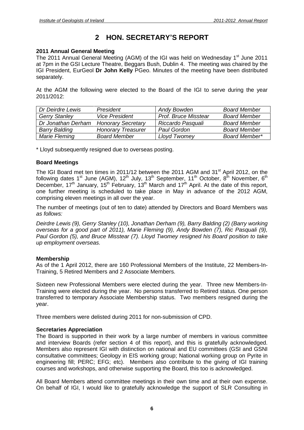# **<sup>2</sup> HON. SECRETARYí<sup>S</sup> REPORT**

#### **2011 Annual General Meeting**

The 2011 Annual General Meeting (AGM) of the IGI was held on Wednesday 1<sup>st</sup> June 2011 at 7pm in the GSI Lecture Theatre, Beggars Bush, Dublin 4. The meeting was chaired by the IGI President, EurGeol **Dr John Kelly** PGeo. Minutes of the meeting have been distributed separately.

At the AGM the following were elected to the Board of the IGI to serve during the year 2011/2012:

| Dr Deirdre Lewis     | President                 | Andy Bowden                 | <b>Board Member</b> |
|----------------------|---------------------------|-----------------------------|---------------------|
| <b>Gerry Stanley</b> | <b>Vice President</b>     | <b>Prof. Bruce Misstear</b> | <b>Board Member</b> |
| Dr Jonathan Derham   | <b>Honorary Secretary</b> | Riccardo Pasquali           | <b>Board Member</b> |
| <b>Barry Balding</b> | <b>Honorary Treasurer</b> | Paul Gordon                 | <b>Board Member</b> |
| <b>Marie Fleming</b> | <b>Board Member</b>       | Lloyd Twomey                | Board Member*       |

\* Lloyd subsequently resigned due to overseas posting.

#### **Board Meetings**

The IGI Board met ten times in 2011/12 between the 2011 AGM and 31<sup>st</sup> April 2012, on the following dates 1<sup>st</sup> June (AGM), 12<sup>th</sup> July, 13<sup>th</sup> September, 11<sup>th</sup> October, 8<sup>th</sup> November, 6<sup>th</sup> December, 17<sup>th</sup> January, 15<sup>th</sup> February, 13<sup>th</sup> March and 17<sup>th</sup> April. At the date of this report, one further meeting is scheduled to take place in May in advance of the 2012 AGM, comprising eleven meetings in all over the year.

The number of meetings (out of ten to date) attended by Directors and Board Members was as follows:

Deirdre Lewis (9), Gerry Stanley (10), Jonathan Derham (9), Barry Balding (2) (Barry working overseas for a good part of 2011), Marie Fleming (9), Andy Bowden (7), Ric Pasquali (9), Paul Gordon (5), and Bruce Misstear (7). Lloyd Twomey resigned his Board position to take up employment overseas.

#### **Membership**

As of the 1 April 2012, there are 160 Professional Members of the Institute, 22 Members-In- Training, 5 Retired Members and 2 Associate Members.

Sixteen new Professional Members were elected during the year. Three new Members-In- Training were elected during the year. No persons transferred to Retired status. One person transferred to temporary Associate Membership status. Two members resigned during the year.

Three members were delisted during 2011 for non-submission of CPD.

#### **Secretaries Appreciation**

The Board is supported in their work by a large number of members in various committee and interview Boards (refer section 4 of this report), and this is gratefully acknowledged. Members also represent IGI with distinction on national and EU committees (GSI and GSNI consultative committees; Geology in EIS working group; National working group on Pyrite in engineering fill; PERC; EFG; etc). Members also contribute to the giving of IGI training courses and workshops, and otherwise supporting the Board, this too is acknowledged.

All Board Members attend committee meetings in their own time and at their own expense. On behalf of IGI, I would like to gratefully acknowledge the support of SLR Consulting in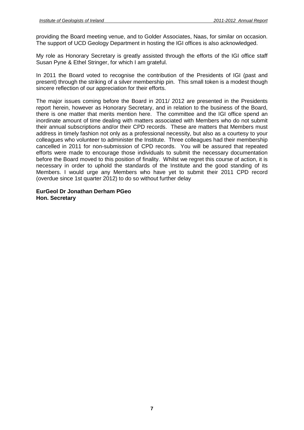providing the Board meeting venue, and to Golder Associates, Naas, for similar on occasion. The support of UCD Geology Department in hosting the IGI offices is also acknowledged.

My role as Honorary Secretary is greatly assisted through the efforts of the IGI office staff Susan Pyne & Ethel Stringer, for which I am grateful.

In 2011 the Board voted to recognise the contribution of the Presidents of IGI (past and present) through the striking of a silver membership pin. This small token is a modest though sincere reflection of our appreciation for their efforts.

The major issues coming before the Board in 2011/ 2012 are presented in the Presidents report herein, however as Honorary Secretary, and in relation to the business of the Board, there is one matter that merits mention here. The committee and the IGI office spend an inordinate amount of time dealing with matters associated with Members who do not submit their annual subscriptions and/or their CPD records. These are matters that Members must address in timely fashion not only as a professional necessity, but also as a courtesy to your colleagues who volunteer to administer the Institute. Three colleagues had their membership cancelled in 2011 for non-submission of CPD records. You will be assured that repeated efforts were made to encourage those individuals to submit the necessary documentation before the Board moved to this position of finality. Whilst we regret this course of action, it is necessary in order to uphold the standards of the Institute and the good standing of its Members. I would urge any Members who have yet to submit their 2011 CPD record (overdue since 1st quarter 2012) to do so without further delay

#### **EurGeol Dr Jonathan Derham PGeo Hon. Secretary**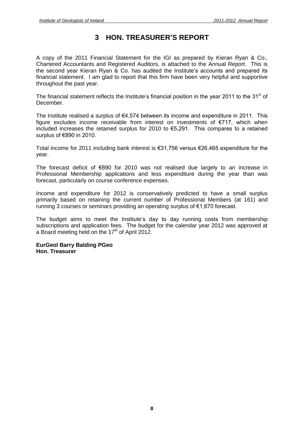# **<sup>3</sup> HON. TREASURERí<sup>S</sup> REPORT**

A copy of the 2011 Financial Statement for the IGI as prepared by Kieran Ryan & Co.,<br>Chartered Accountants and Registered Auditors, is attached to the Annual Report. This is<br>the second year Kieran Ryan & Co. has audited th Chartered Accountants and Registered Auditors, is attached to the Annual Report. This is financial statement. I am glad to report that this firm have been very helpful and supportive throughout the past year. The financial statement reflects the Institute's financial position in the year 2011 to the 31<sup>st</sup> of

December.

The Institute realised a surplus of  $€4,574$  between its income and expenditure in 2011. This – Jesennest.<br>The Institute realised a surplus of €4,574 between its income and expenditure in 2011. This<br>figure excludes income receivable from interest on investments of €717, which when The Institute realised a surplus of €4,574 between its income and expenditure in 2011. This<br>figure excludes income receivable from interest on investments of €717, which when<br>included increases the retained surplus for 20 figure excludes income red<br>included increases the retain<br>surplus of €890 in 2010. included increases the retained surplus for 2010 to  $\epsilon$ 5,291. This compares to a retained surplus of  $\epsilon$ 890 in 2010.<br>Total income for 2011 including bank interest is  $\epsilon$ 31,756 versus  $\epsilon$ 26,465 expenditure for the

year.

The forecast deficit of  $\epsilon$ 890 for 2010 was not realised due largely to an increase in Professional Membership applications and less expenditure during the year than was forecast, particularly on course conference expenses.

Income and expenditure for 2012 is conservatively predicted to have a small surplus primarily based on retaining the current number of Professional Members (at 161) and Income and expenditure for 2012 is conservatively predicted to have a small primarily based on retaining the current number of Professional Members (at 10<br>running 3 courses or seminars providing an operating surplus of €1

running 3 courses or seminars providing an operating surplus of  $\epsilon$ 1,670 forecast.<br>The budget aims to meet the Institute's day to day running costs from membership subscriptions and application fees. The budget for the calendar year 2012 was approved at a Board meeting held on the 17<sup>th</sup> of April 2012.

#### **EurGeol Barry Balding PGeo Hon. Treasurer**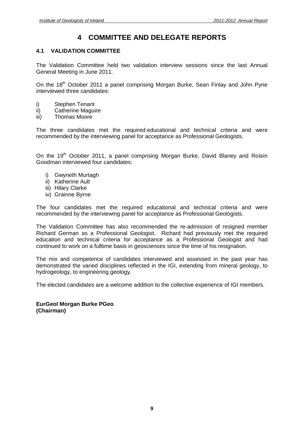# **4 COMMITTEE AND DELEGATE REPORTS**

#### **4.1 VALIDATION COMMITTEE**

The Validation Committee held two validation interview sessions since the last Annual General Meeting in June 2011.

On the 18<sup>th</sup> October 2011 a panel comprising Morgan Burke, Sean Finlay and John Pyne interviewed three candidates:

- i) Stephen Tenant
- ii) Catherine Maguire
- iii) Thomas Moore

The three candidates met the required educational and technical criteria and were recommended by the interviewing panel for acceptance as Professional Geologists.

recemmented by the them reming patter or deceptative as increasional elevagions.<br>On the 19<sup>th</sup> October 2011, a panel comprising Morgan Burke, David Blaney and Roísín Goodman interviewed four candidates:

- i) Gwyneth Murtagh
- ii) Katherine Ault
- iii) Hilary Clarke
- iv) Grainne Byrne

The four candidates met the required educational and technical criteria and were recommended by the interviewing panel for acceptance as Professional Geologists.

The Validation Committee has also recommended the re-admission of resigned member Richard German as a Professional Geologist. Richard had previously met the required education and technical criteria for acceptance as a Professional Geologist and had continued to work on a fulltime basis in geosciences since the time of his resignation.

The mix and competence of candidates interviewed and assessed in the past year has demonstrated the varied disciplines reflected in the IGI, extending from mineral geology, to hydrogeology, to engineering geology.

The elected candidates are a welcome addition to the collective experience of IGI members.

**EurGeol Morgan Burke PGeo (Chairman)**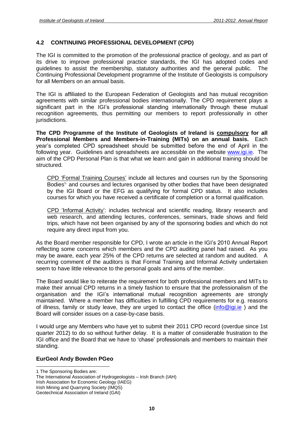#### **4.2 CONTINUING PROFESSIONAL DEVELOPMENT (CPD)**

The IGI is committed to the promotion of the professional practice of geology, and as part of its drive to improve professional practice standards, the IGI has adopted codes and guidelines to assist the membership, statutory authorities and the general public. The Continuing Professional Development programme of the Institute of Geologists is compulsory for all Members on an annual basis.

The IGI is affiliated to the European Federation of Geologists and has mutual recognition agreements with similar professional bodies internationally. The CPD requirement plays a significant part in the IGI's professional standing internationally through these mutual recognition agreements, thus permitting our members to report professionally in other jurisdictions.

**The CPD Programme of the Institute of Geologists of Ireland is compulsory for all Professional Members and Members-in-Training (MITs) on an annual basis.** Each The CPD Programme of the Institute of Geologists of Ireland is <u>compulsory</u> for all<br>Professional Members and Members-in-Training (MITs) on an annual basis. Each<br>year's completed CPD spreadsheet should be submitted before t following year. Guidelines and spreadsheets are accessible on the website [www.igi.ie.](http://www.igi.ie) The aim of the CPD Personal Plan is that what we learn and gain in additional training should be structured.

CPD 'Formal Training Courses' include all lectures and courses run by the Sponsoring Bodies<sup>1,</sup> and courses and lectures organised by other bodies that have been designated by the IGI Board or the EFG as qualifying for formal CPD status. It also includes courses for which you have received a certificate of completion or a formal qualification.<br>CPD 'Informal Activity': includes technical and scientific reading, library research and

web research, and attending lectures, conferences, seminars, trade shows and field trips, which have not been organised by any of the sponsoring bodies and which do not require any direct input from you.

As the Board member responsible for CPD, I wrote an article in the IGI's 2010 Annual Report reflecting some concerns which members and the CPD auditing panel had raised. As you may be aware, each year 25% of the CPD returns are selected at random and audited. A recurring comment of the auditors is that Formal Training and Informal Activity undertaken seem to have little relevance to the personal goals and aims of the member.

The Board would like to reiterate the requirement for both professional members and MITs to<br>make their annual CPD returns in a timely fashion to ensure that the professionalism of the<br>organisation and the IGI's interna make their annual CPD returns in a timely fashion to ensure that the professionalism of the maintained. Where a member has difficulties in fulfilling CPD requirements for e.g. reasons of illness, family or study leave, they are urged to contact the office [\(info@igi.ie](mailto:info@igi.ie)) and the Board will consider issues on a case-by-case basis.

I would urge any Members who have yet to submit their 2011 CPD record (overdue since 1st quarter 2012) to do so without further delay. It is a matter of considerable frustration to the I would urge any Members who have yet to submit their 2011 CPD record (overdue since 1st<br>quarter 2012) to do so without further delay. It is a matter of considerable frustration to the<br>IGI office and the Board that we have standing.

#### **EurGeol Andy Bowden PGeo**

The International Association of Hydrogeologists - Irish Branch (IAH) Irish Association for Economic Geology (IAEG) Irish Mining and Quarrying Society (IMQS) Geotechnical Association of Ireland (GAI)

<sup>1</sup> The Sponsoring Bodies are: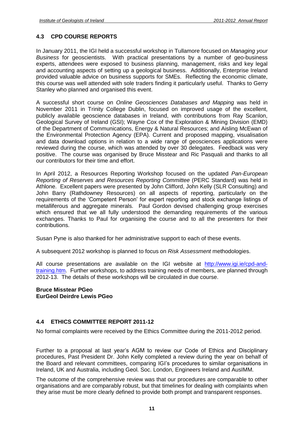#### **4.3 CPD COURSE REPORTS**

In January 2011, the IGI held a successful workshop in Tullamore focused on Managing your Business for geoscientists. With practical presentations by a number of geo-business experts, attendees were exposed to business planning, management, risks and key legal and accounting aspects of setting up a geological business. Additionally, Enterprise Ireland provided valuable advice on business supports for SMEs. Reflecting the economic climate, this course was wellattended with sole traders finding it particularly useful. Thanks to Gerry Stanley who planned and organised this event.

A successful short course on Online Geosciences Databases and Mapping was held in November 2011 in Trinity College Dublin, focused on improved usage of the excellent, publicly available geoscience databases in Ireland, with contributions from Ray Scanlon, Geological Survey of Ireland (GSI); Wayne Cox of the Exploration & Mining Division (EMD) of the Department of Communications, Energy & Natural Resources; and Aisling McEwan of the Environmental Protection Agency (EPA). Current and proposed mapping, visualisation and data download options in relation to a wide range of geosciences applications were reviewed during the course, which was attended by over 30 delegates. Feedback was very positive. The course was organised by Bruce Misstear and Ric Pasquali and thanks to all our contributors for their time and effort.

In April 2012, a Resources Reporting Workshop focused on the updated Pan-European Reporting of Reserves and Resources Reporting Committee (PERC Standard) was held in Athlone. Excellent papers were presented by John Clifford, John Kelly (SLR Consulting) and John Barry (Rathdowney Resources) on all aspects of reporting, particularly on the reporting Excellent papers were presented by John Clifford, John Kelly (SLR Consulting) and<br>John Barry (Rathdowney Resources) on all aspects of reporting, particularly on the<br>requirements of the 'Competent Person' for expe metalliferous and aggregate minerals. Paul Gordon devised challenging group exercises which ensured that we all fully understood the demanding requirements of the various exchanges. Thanks to Paul for organising the course and to all the presenters for their contributions.

Susan Pyne is also thanked for her administrative support to each of these events.

A subsequent 2012 workshop is planned to focus on Risk Assessment methodologies.

All course presentations are available on the IGI website at [http://www.igi.ie/cpd-and](http://www.igi.ie/cpd-and-)training.htm. Further workshops, to address training needs of members, are planned through 2012-13. The details of these workshops will be circulated in due course.

#### **Bruce Misstear PGeo EurGeol Deirdre Lewis PGeo**

#### **4.4 ETHICS COMMITTEE REPORT 2011-12**

No formal complaints were received by the Ethics Committee during the 2011-2012 period.

Further to <sup>a</sup> proposal at last yearís AGM to review our Code of Ethics and Disciplinary procedures, Past President Dr. John Kelly completed a review during the year on behalf of the Board and relevant committees, comparing IGIís procedures to similar organisations in Ireland, UK and Australia, including Geol. Soc. London, Engineers Ireland and AusIMM.

The outcome of the comprehensive review was that our procedures are comparable to other organisations and are comparably robust, but that timelines for dealing with complaints when they arise must be more clearly defined to provide both prompt and transparent responses.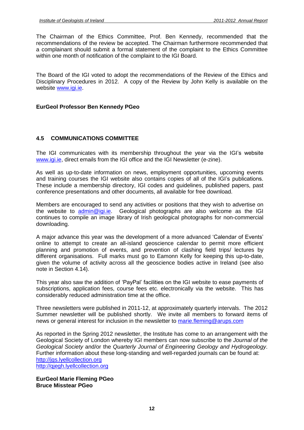The Chairman of the Ethics Committee, Prof. Ben Kennedy, recommended that the recommendations of the review be accepted. The Chairman furthermore recommended that a complainant should submit a formal statement of the complaint to the Ethics Committee within one month of notification of the complaint to the IGI Board.

The Board of the IGI voted to adopt the recommendations of the Review of the Ethics and Disciplinary Procedures in 2012. A copy of the Review by John Kelly is available on the website [www.igi.ie.](http://www.igi.ie)

#### **EurGeol Professor Ben Kennedy PGeo**

#### **4.5 COMMUNICATIONS COMMITTEE**

The IGI communicates with its membership throughout the year via the IGIís website [www.igi.ie,](http://www.igi.ie) direct emails from the IGI office and the IGI Newsletter (e-zine).

As well as up-to-date information on news, employment opportunities, upcoming events and training courses the IGI website also contains copies of all of the IGI's publications.<br>As well as up-to-date information on news, employment opportunities, upcoming events<br>and training courses the IGI website also con These include a membership directory, IGI codes and guidelines, published papers, past conference presentations and other documents, all available for free download.

Members are encouraged to send any activities or positions that they wish to advertise on the website to [admin@igi.ie.](mailto:admin@igi.ie) Geological photographs are also welcome as the IGI continues to compile an image library of Irish geological photographs for non-commercial downloading.

A major advance this year was the development of a more advanced 'Calendar of Events' online to attempt to create an all-island geoscience calendar to permit more efficient planning and promotion of events, and prevention of clashing field trips/ lectures by different organisations. Full marks must go to Eamonn Kelly for keeping this up-to-date, given the volume of activity across all the geoscience bodies active in Ireland (see also note in Section 4.14).

This year also saw the addition of 'PayPal' facilities on the IGI website to ease payments of subscriptions, application fees, course fees etc. electronically via the website. This has considerably reduced administration time at the office.

Three newsletters were published in 2011-12, at approximately quarterly intervals. The 2012 Summer newsletter will be published shortly. We invite all members to forward items of news or general interest for inclusion in the newsletter to [marie.fleming@arups.com](mailto:marie.fleming@arups.com)

As reported in the Spring 2012 newsletter, the Institute has come to an arrangement with the Geological Society of London whereby IGI members can now subscribe to the Journal of the Geological Society and/or the Quarterly Journal of Engineering Geology and Hydrogeology. Further information about these long-standing and well-regarded journals can be found at: <http://jgs.lyellcollection.org> <http://qjegh.lyellcollection.org>

**EurGeol Marie Fleming PGeo Bruce Misstear PGeo**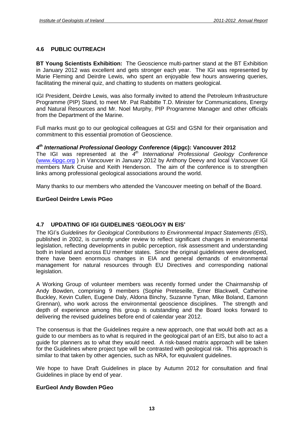#### **4.6 PUBLIC OUTREACH**

**BT Young Scientists Exhibition:** The Geoscience multi-partner stand at the BT Exhibition in January 2012 was excellent and gets stronger each year. The IGI was represented by Marie Fleming and Deirdre Lewis, who spent an enjoyable few hours answering queries, facilitating the mineral quiz, and chatting to students on matters geological.

IGI President, Deirdre Lewis, was also formally invited to attend the Petroleum Infrastructure Programme (PIP) Stand, to meet Mr. Pat Rabbitte T.D. Minister for Communications, Energy and Natural Resources and Mr. Noel Murphy, PIP Programme Manager and other officials from the Department of the Marine.

Full marks must go to our geological colleagues at GSI and GSNI for their organisation and commitment to this essential promotion of Geoscience.

#### **4 th International Professional Geology Conference (4ipgc): Vancouver 2012**

The IGI was represented at the  $4<sup>th</sup>$  International Professional Geology Conference (www.4ipgc.org ) in Vancouver in January 2012 by Anthony Deevy and local Vancouver IGI members Mark Cruise and Keith Henderson. The aim of the conference is to strengthen links among professional geological associations around the world.

Many thanks to our members who attended the Vancouver meeting on behalf of the Board.

#### **EurGeol Deirdre Lewis PGeo**

#### **4.7 UPDATING OF IGI GUIDELINES <sup>ë</sup>GEOLOGY IN EIS<sup>í</sup>**

The IGI's Guidelines for Geological Contributions to Environmental Impact Statements (EIS), published in 2002, is currently under review to reflect significant changes in environmental legislation, reflecting developments in public perception, risk assessment and understanding both in Ireland and across EU member states. Since the original guidelines were developed, there have been enormous changes in EIA and general demands of environmental management for natural resources through EU Directives and corresponding national legislation.

A Working Group of volunteer members was recently formed under the Chairmanship of Andy Bowden, comprising 9 members (Sophie Preteseille, Emer Blackwell, Catherine Buckley, Kevin Cullen, Eugene Daly, Aldona Binchy, Suzanne Tynan, Mike Boland, Eamonn Grennan), who work across the environmental geoscience disciplines. The strength and depth of experience among this group is outstanding and the Board looks forward to delivering the revised guidelines before end of calendar year 2012.

The consensus is that the Guidelines require a new approach, one that would both act as a guide to our members as to what is required in the geological part of an EIS, but also to act a guide for planners as to what they would need. A risk-based matrix approach will be taken for the Guidelines where project type will be contrasted with geological risk. This approach is similar to that taken by other agencies, such as NRA, for equivalent guidelines.

We hope to have Draft Guidelines in place by Autumn 2012 for consultation and final Guidelines in place by end of year.

#### **EurGeol Andy Bowden PGeo**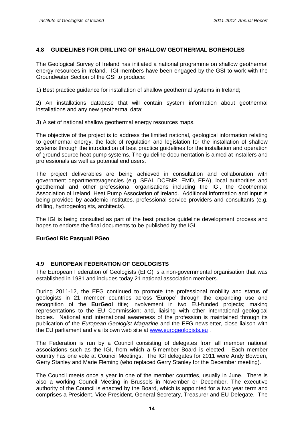#### **4.8 GUIDELINES FOR DRILLING OF SHALLOW GEOTHERMAL BOREHOLES**

The Geological Survey of Ireland has initiated a national programme on shallow geothermal energy resources in Ireland. IGI members have been engaged by the GSI to work with the Groundwater Section of the GSI to produce:

1) Best practice guidance for installation of shallow geothermal systems in Ireland;

2) An installations database that will contain system information about geothermal installations and any new geothermal data;

3) A set of national shallow geothermal energy resources maps.

The objective of the project is to address the limited national, geological information relating to geothermal energy, the lack of regulation and legislation for the installation of shallow systems through the introduction of best practice guidelines for the installation and operation of ground source heat pump systems. The guideline documentation is aimed at installers and professionals as well as potential end users.

The project deliverables are being achieved in consultation and collaboration with government departments/agencies (e.g. SEAI, DCENR, EMD, EPA), local authorities and geothermal and other professional organisations including the IGI, the Geothermal Association of Ireland, Heat Pump Association of Ireland. Additional information and input is being provided by academic institutes, professional service providers and consultants (e.g. drilling, hydrogeologists, architects).

The IGI is being consulted as part of the best practice guideline development process and hopes to endorse the final documents to be published by the IGI.

#### **EurGeol Ric Pasquali PGeo**

#### **4.9 EUROPEAN FEDERATION OF GEOLOGISTS**

The European Federation of Geologists (EFG) is a non-governmental organisation that was established in 1981 and includes today 21 national association members.

During 2011-12, the EFG continued to promote the professional mobility and status of geologists in 21 member countries across 'Europe' through the expanding use and recognition of the **EurGeol** title; involvement in two EU-funded projects; making representations to the EU Commission; and, liaising with other international geological bodies. National and international awareness of the profession is maintained through its publication of the *European Geologist Magazine* and the EFG newsletter, close liaison with the EU parliament and via its own web site at [www.eurogeologists.eu](http://www.eurogeologists.eu) .

The Federation is run by a Council consisting of delegates from all member national associations such as the IGI, from which a 5-member Board is elected. Each member country has one vote at Council Meetings. The IGI delegates for 2011 were Andy Bowden, Gerry Stanley and Marie Fleming (who replaced Gerry Stanley for the December meeting).

The Council meets once a year in one of the member countries, usually in June. There is also a working Council Meeting in Brussels in November or December. The executive authority of the Council is enacted by the Board, which is appointed for a two year term and comprises a President, Vice-President, General Secretary, Treasurer and EU Delegate. The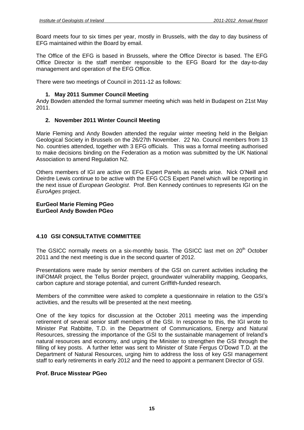Board meets four to six times per year, mostly in Brussels, with the day to day business of EFG maintained within the Board by email.

The Office of the EFG is based in Brussels, where the Office Director is based. The EFG Office Director is the staff member responsible to the EFG Board for the day-to-day management and operation of the EFG Office.

There were two meetings of Council in 2011-12 as follows:

#### **1. May 2011 Summer Council Meeting**

Andy Bowden attended the formal summer meeting which was held in Budapest on 21st May 2011.

#### **2. November 2011 Winter Council Meeting**

Marie Fleming and Andy Bowden attended the regular winter meeting held in the Belgian Geological Society in Brussels on the 26/27th November. 22 No. Council members from 13 No. countries attended, together with 3 EFG officials. This was a formal meeting authorised to make decisions binding on the Federation as a motion was submitted by the UK National Association to amend Regulation N2.

Others members of IGI are active on EFG Expert Panels as needs arise. Nick O'Neill and Deirdre Lewis continue to be active with the EFG CCS Expert Panel which will be reporting in the next issue of *European Geologist*. Prof. Ben Kennedy continues to represents IGI on the EuroAges project.

#### **EurGeol Marie Fleming PGeo EurGeol Andy Bowden PGeo**

#### **4.10 GSI CONSULTATIVE COMMITTEE**

The GSICC normally meets on a six-monthly basis. The GSICC last met on 20<sup>th</sup> October 2011 and the next meeting is due in the second quarter of 2012.

Presentations were made by senior members of the GSI on current activities including the INFOMAR project, the Tellus Border project, groundwater vulnerability mapping, Geoparks, carbon capture and storage potential, and current Griffith-funded research.

Members of the committee were asked to complete <sup>a</sup> questionnaire in relation to the GSIís activities, and the results will be presented at the next meeting.

One of the key topics for discussion at the October 2011 meeting was the impending retirement of several senior staff members of the GSI. In response to this, the IGI wrote to Minister Pat Rabbitte, T.D. in the Department of Communications, Energy and Natural Resources, stressing the importance of the GS Minister Pat Rabbitte, T.D. in the Department of Communications, Energy and Natural natural resources and economy, and urging the Minister to strengthen the GSI through the Resources, stressing the importance of the GSI to the sustainable management of Ireland's natural resources and economy, and urging the Minister to strengthen the GSI through the filling of key posts. A further letter was Department of Natural Resources, urging him to address the loss of key GSI management staff to early retirements in early 2012 and the need to appoint a permanent Director of GSI.

#### **Prof. Bruce Misstear PGeo**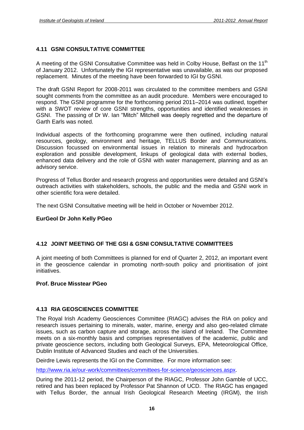#### **4.11 GSNI CONSULTATIVE COMMITTEE**

A meeting of the GSNI Consultative Committee was held in Colby House, Belfast on the 11<sup>th</sup> of January 2012. Unfortunately the IGI representative was unavailable, as was our proposed replacement. Minutes of the meeting have been forwarded to IGI by GSNI.

The draft GSNI Report for 2008-2011 was circulated to the committee members and GSNI sought comments from the committee as an audit procedure. Members were encouraged to The draft GSNI Report for 2008-2011 was circulated to the committee members and GSNI<br>sought comments from the committee as an audit procedure. Members were encouraged to<br>respond. The GSNI programme for the forthcoming peri with a SWOT review of core GSNI strengths, opportunities and identified weaknesses in respond. The GSNI programme for the forthcoming period 2011–2014 was outlined, together with a SWOT review of core GSNI strengths, opportunities and identified weaknesses in GSNI. The passing of Dr W. Ian "Mitch" Mitchell Garth Earls was noted.

Individual aspects of the forthcoming programme were then outlined, including natural resources, geology, environment and heritage, TELLUS Border and Communications. Discussion focussed on environmental issues in relation to minerals and hydrocarbon exploration and possible development, linkups of geological data with external bodies, enhanced data delivery and the role of GSNI with water management, planning and as an advisory service.

Progress of Tellus Border and research progress and opportunities were detailed and GSNIís outreach activities with stakeholders, schools, the public and the media and GSNI work in other scientific fora were detailed.

The next GSNI Consultative meeting will be held in October or November 2012.

#### **EurGeol Dr John Kelly PGeo**

#### **4.12 JOINT MEETING OF THE GSI & GSNI CONSULTATIVE COMMITTEES**

A joint meeting of both Committees is planned for end of Quarter 2, 2012, an important event in the geoscience calendar in promoting north-south policy and prioritisation of joint initiatives.

#### **Prof. Bruce Misstear PGeo**

#### **4.13 RIA GEOSCIENCES COMMITTEE**

The Royal Irish Academy Geosciences Committee (RIAGC) advises the RIA on policy and research issues pertaining to minerals, water, marine, energy and also geo-related climate issues, such as carbon capture and storage, across the island of Ireland. The Committee meets on a six-monthly basis and comprises representatives of the academic, public and private geoscience sectors, including both Geological Surveys, EPA, Meteorological Office, Dublin Institute of Advanced Studies and each of the Universities.

Deirdre Lewis represents the IGI on the Committee. For more information see:

[http://www.ria.ie/our-work/committees/committees-for-science/geosciences.aspx.](http://www.ria.ie/our-work/committees/committees-for-science/geosciences.aspx)

During the 2011-12 period, the Chairperson of the RIAGC, Professor John Gamble of UCC, retired and has been replaced by Professor Pat Shannon of UCD. The RIAGC has engaged with Tellus Border, the annual Irish Geological Research Meeting (IRGM), the Irish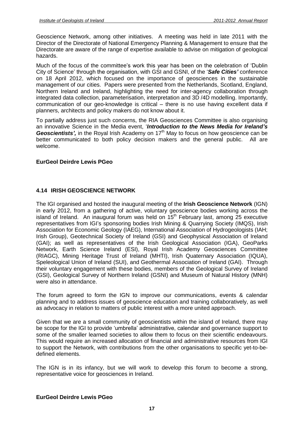Geoscience Network, among other initiatives. A meeting was held in late 2011 with the Director of the Directorate of National Emergency Planning & Management to ensure that the Directorate are aware of the range of expertise available to advise on mitigation of geological hazards.

Much of the focus of the committee's work this year has been on the celebration of 'Dublin City of Science<sup>í</sup> through the organisation, with GSIand GSNI, of the <sup>ë</sup>**Safe Cities***<sup>í</sup>* conference on 18 April 2012, which focused on the importance of geosciences in the sustainable management of our cities. Papers were presented from the Netherlands, Scotland, England, Northern Ireland and Ireland, highlighting the need for inter-agency collaboration through<br>integrated data collection, parameterisation, interpretation and 3D/4D modelling. Importantly,<br>communication of our geo-knowledge i integrated data collection, parameterisation, interpretation and 3D /4D modelling. Importantly, planners, architects and policy makers do not know about it.

To partially address just such concerns, the RIA Geosciences Committee is also organising planners, architects and policy makers do not know about it.<br>To partially address just such concerns, the RIA Geosciences Committee is also organising<br>an innovative Science in the Media event, '**Introduction to the News Me** To partially address just such concerns, the RIA Geosciene<br>an innovative Science in the Media event, *'Introduction t*<br>Geoscientists', in the Royal Irish Academy on 17<sup>th</sup> May to **Geoscientists',** in the Roval Irish Academy on  $17<sup>th</sup>$  May to focus on how geoscience can be better communicated to both policy decision makers and the general public. All are welcome.

#### **EurGeol Deirdre Lewis PGeo**

#### **4.14 IRISH GEOSCIENCE NETWORK**

The IGI organised and hosted the inaugural meeting of the **Irish Geoscience Network** (IGN) in early 2012, from a gathering of active, voluntary geoscience bodies working across the island of Ireland. An inaugural forum was held on 15<sup>th</sup> February last, among 25 executive in early 2012, from a gathering of active, voluntary geoscience bodies working across the<br>island of Ireland. An inaugural forum was held on 15<sup>th</sup> February last, among 25 executive<br>representatives from IGI's sponsoring bod Association for Economic Geology (IAEG), International Association of Hydrogeologists (IAH; Irish Group), Geotechnical Society of Ireland (GSI) and Geophysical Association of Ireland (GAI); as well as representatives of the Irish Geological Association (IGA), GeoParks Network, Earth Science Ireland (ESI), Royal Irish Academy Geosciences Committee (RIAGC), Mining Heritage Trust of Ireland (MHTI), Irish Quaternary Association (IQUA), Speleological Union of Ireland (SUI), and Geothermal Association of Ireland (GAI). Through their voluntary engagement with these bodies, members of the Geological Survey of Ireland (GSI), Geological Survey of Northern Ireland (GSNI) and Museum of Natural History (MNH) were also in attendance.

The forum agreed to form the IGN to improve our communications, events & calendar planning and to address issues of geoscience education and training collaboratively, as well as advocacy in relation to matters of public interest with a more united approach.

Given that we are a small community of geoscientists within the island of Ireland, there may Given that we are a small community of geoscientists within the island of Ireland, there may<br>be scope for the IGI to provide 'umbrella' administrative, calendar and governance support to some of the smaller learned societies to allow them to focus on their scientific endeavours. This would require an increased allocation of financial and administrative resources from IGI to support the Network, with contributions from the other organisations to specific yet-to-be defined elements.

The IGN is in its infancy, but we will work to develop this forum to become a strong, representative voice for geosciences in Ireland.

#### **EurGeol Deirdre Lewis PGeo**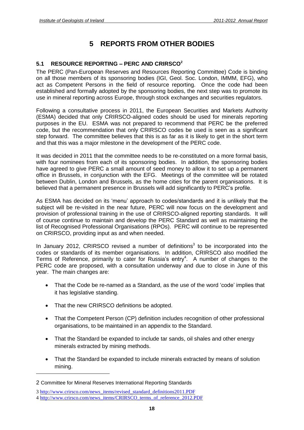# **5 REPORTS FROM OTHER BODIES**

# **5.1 RESOURCE REPORTING <sup>ñ</sup> PERC AND CRIRSCO 2**

The PERC (Pan-European Reserves and Resources Reporting Committee) Code is binding on all those members of its sponsoring bodies (IGI, Geol. Soc. London, IMMM, EFG), who act as Competent Persons in the field of resource reporting. Once the code had been established and formally adopted by the sponsoring bodies, the next step was to promote its use in mineral reporting across Europe, through stock exchanges and securities regulators.

Following a consultative process in 2011, the European Securities and Markets Authority (ESMA) decided that only CRIRSCO-aligned codes should be used for minerals reporting purposes in the EU. ESMA was not prepared to recommend that PERC be the preferred code, but the recommendation that only CRIRSCO codes be used is seen as a significant step forward. The committee believes that this is as far as it is likely to get in the short term and that this was a major milestone in the development of the PERC code.

It was decided in 2011 that the committee needs to be re-constituted on a more formal basis, with four nominees from each of its sponsoring bodies. In addition, the sponsoring bodies have agreed to give PERC a small amount of seed money to allow it to set up a permanent office in Brussels, in conjunction with the EFG. Meetings of the committee will be rotated<br>between Dublin, London and Brussels, as the home cities for the parent organisations. It is<br>believed that a permanent presence in B between Dublin, London and Brussels, as the home cities for the parent organisations. It is

believed that a permanent presence in Brussels will add significantly to PERC's profile.<br>As ESMA has decided on its 'menu' approach to codes/standards and it is unlikely that the subject will be re-visited in the near future, PERC will now focus on the development and provision of professional training in the use of CRIRSCO-aligned reporting standards. It will of course continue to maintain and develop the PERC Standard as well as maintaining the list of Recognised Professional Organisations (RPOs). PERC will continue to be represented on CRIRSCO, providing input as and when needed.

In January 2012, CRIRSCO revised a number of definitions<sup>3</sup> to be incorporated into the codes or standards of its member organisations. In addition, CRIRSCO also modified the In January 2012, CRIRSCO revised a number of definitions<sup>3</sup> to<br>codes or standards of its member organisations. In addition, CRI<br>Terms of Reference, primarily to cater for Russia's entry<sup>4</sup>. A nu <sup>4</sup>. A number of changes to the PERC code are proposed, with a consultation underway and due to close in June of this year. The main changes are:

- That the Code be re-named as a Standard, as the use of the word 'code' implies that it has legislative standing.
- That the new CRIRSCO definitions be adopted.
- That the Competent Person (CP) definition includes recognition of other professional organisations, to be maintained in an appendix to the Standard.
- That the Standard be expanded to include tar sands, oil shales and other energy minerals extracted by mining methods.
- That the Standard be expanded to include minerals extracted by means of solution mining.

<sup>2</sup> Committee for Mineral Reserves International Reporting Standards

<sup>3</sup> [http://www.crirsco.com/news\\_items/revised\\_standard\\_definitions2011.PDF](http://www.crirsco.com/news_items/revised_standard_definitions2011.PDF)

<sup>4</sup> [http://www.crirsco.com/news\\_items/CRIRSCO\\_terms\\_of\\_reference\\_2012.PDF](http://www.crirsco.com/news_items/CRIRSCO_terms_of_reference_2012.PDF)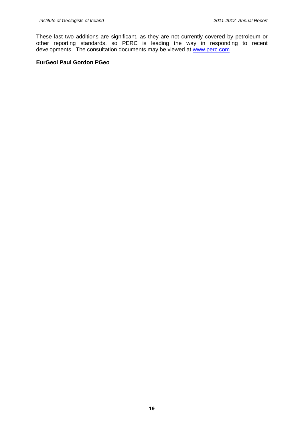These last two additions are significant, as they are not currently covered by petroleum or other reporting standards, so PERC is leading the way in responding to recent developments. The consultation documents may be viewed at [www.perc.com](http://www.perc.com)

#### **EurGeol Paul Gordon PGeo**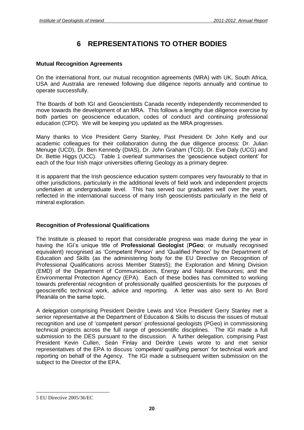# **6 REPRESENTATIONS TO OTHER BODIES**

#### **Mutual Recognition Agreements**

On the international front, our mutual recognition agreements (MRA) with UK, South Africa, USA and Australia are renewed following due diligence reports annually and continue to operate successfully.

The Boards of both IGI and Geoscientists Canada recently independently recommended to move towards the development of an MRA. This follows a lengthy due diligence exercise by both parties on geoscience education, codes of conduct and continuing professional education (CPD). We will be keeping you updated as the MRA progresses.

Many thanks to Vice President Gerry Stanley, Past President Dr John Kelly and our academic colleagues for their collaboration during the due diligence process: Dr. Julian Menuge (UCD), Dr. Ben Kennedy (DIAS), Dr. John Graham (TCD), Dr. Eve Daly (UCG) and academic colleagues for their collaboration during the due diligence process: Dr. Julian<br>Menuge (UCD), Dr. Ben Kennedy (DIAS), Dr. John Graham (TCD), Dr. Eve Daly (UCG) and<br>Dr. Bettie Higgs (UCC). Table 1 overleaf summaris each of the four Irish major universities offering Geology as a primary degree.

It is apparent that the Irish geoscience education system compares very favourably to that in other jurisdictions, particularly in the additional levels of field work and independent projects undertaken at undergraduate level. This has served our graduates well over the years, reflected in the international success of many Irish geoscientists particularly in the field of mineral exploration.

#### **Recognition of Professional Qualifications**

The Institute is pleased to report that considerable progress was made during the year in The Institute is pleased to report that considerable progress was made during the year in<br>having the IGI's unique title of **Professional Geologist (PGeo**; or mutually recognised having the IGI's unique title of **Professional Geologist (PGeo**; or mutually recognised equivalent) recognised as 'Competent Person' and 'Qualified Person' by the Department of Education and Skills (as the administering body for the EU Directive on Recognition of Professional Qualifications across Member States5); the Exploration and Mining Division (EMD) of the Department of Communications, Energy and Natural Resources; and the Environmental Protection Agency (EPA). Each of these bodies has committed to working The state of preferential recognition of professionally qualified geoscientists for the purposes of geoscientific technical work, advice and reporting. A letter was also sent to An Bord Pleanála on the same topic. geoscientific technical work, advice and reporting. A letter was also sent to An Bord

A delegation comprising President Deirdre Lewis and Vice President Gerry Stanley met a senior representative at the Department of Education & Skills to discuss the issues of mutual A delegation comprising President Deirdre Lewis and Vice President Gerry Stanley met a<br>senior representative at the Department of Education & Skills to discuss the issues of mutual<br>recognition and use of 'competent person' technical projects across the full range of geoscientific disciplines. The IGI made a full submission to the DES pursuant to the discussion. A further delegation, comprising Past President Affilial projects across the full range of geoscientific disciplines. The IGI made a full<br>submission to the DES pursuant to the discussion. A further delegation, comprising Past<br>President Kevin Cullen, Seán Finla submission to the DES pursuant to the discussion. A further delegation, comprising Past<br>President Kevin Cullen, Seán Finlay and Deirdre Lewis wrote to and met senior<br>representatives of the EPA to discuss 'competent/ qualif reporting on behalf of the Agency. The IGI made a subsequent written submission on the subject to the Director of the EPA.

<sup>5</sup> EU Directive 2005/36/EC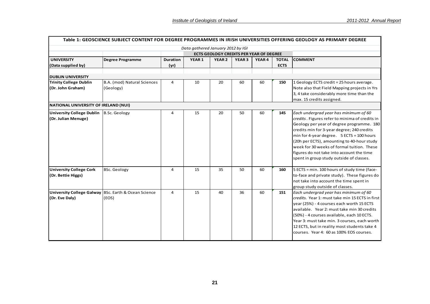|                                                         |                                                               |                         |                                   |                                                                 |                   |              |                             | Table 1: GEOSCIENCE SUBJECT CONTENT FOR DEGREE PROGRAMMES IN IRISH UNIVERSITIES OFFERING GEOLOGY AS PRIMARY DEGREE                                                                                                                                                                                                                                                                                                   |
|---------------------------------------------------------|---------------------------------------------------------------|-------------------------|-----------------------------------|-----------------------------------------------------------------|-------------------|--------------|-----------------------------|----------------------------------------------------------------------------------------------------------------------------------------------------------------------------------------------------------------------------------------------------------------------------------------------------------------------------------------------------------------------------------------------------------------------|
|                                                         |                                                               |                         | Data gathered January 2012 by IGI |                                                                 |                   |              |                             |                                                                                                                                                                                                                                                                                                                                                                                                                      |
| <b>UNIVERSITY</b><br>(Data supplied by)                 | Degree Programme                                              | <b>Duration</b><br>(yr) | YEAR <sub>1</sub>                 | <b>ECTS GEOLOGY CREDITS PER YEAR OF DEGREE</b><br><b>YEAR 2</b> | YEAR <sub>3</sub> | <b>YEAR4</b> | <b>TOTAL</b><br><b>ECTS</b> | <b>COMMENT</b>                                                                                                                                                                                                                                                                                                                                                                                                       |
| <b>DUBLIN UNIVERSITY</b>                                |                                                               |                         |                                   |                                                                 |                   |              |                             |                                                                                                                                                                                                                                                                                                                                                                                                                      |
| <b>Trinity College Dublin</b><br>(Dr. John Graham)      | B.A. (mod) Natural Sciences<br>(Geology)                      | 4                       | 10                                | 20                                                              | 60                | 60           | 150                         | 1 Geology ECTS credit = 25 hours average.<br>Note also that Field Mapping projects in Yrs<br>3, 4 take considerably more time than the<br>max. 15 credits assigned.                                                                                                                                                                                                                                                  |
| NATIONAL UNIVERSITY OF IRELAND (NUI)                    |                                                               |                         |                                   |                                                                 |                   |              |                             |                                                                                                                                                                                                                                                                                                                                                                                                                      |
| <b>University College Dublin</b><br>(Dr. Julian Menuge) | <b>B.Sc. Geology</b>                                          | 4                       | 15                                | 20                                                              | 50                | 60           | 145                         | Each undergrad year has minimum of 60<br>credits. Figures refer to minima of credits in<br>Geology per year of degree programme. 180<br>credits min for 3-year degree; 240 credits<br>min for 4-year degree. 5 ECTS = 100 hours<br>(20h per ECTS), amounting to 40-hour study<br>week for 30 weeks of formal tuition. These<br>figures do not take into account the time<br>spent in group study outside of classes. |
| <b>University College Cork</b><br>(Dr. Bettie Higgs)    | <b>BSc. Geology</b>                                           | 4                       | 15                                | 35                                                              | 50                | 60           | 160                         | 5 ECTS = min. 100 hours of study time (face-<br>to-face and private study). These figures do<br>not take into account the time spent in<br>group study outside of classes.                                                                                                                                                                                                                                           |
| (Dr. Eve Daly)                                          | University College Galway BSc. Earth & Ocean Science<br>(EOS) | 4                       | 15                                | 40                                                              | 36                | 60           | 151                         | Each undergrad year has minimum of 60<br>credits. Year 1: must take min 15 ECTS in first<br>year (25%) - 4 courses each worth 15 ECTS<br>available. Year 2: must take min 30 credits<br>(50%) - 4 courses available, each 10 ECTS.<br>Year 3: must take min. 3 courses, each worth<br>12 ECTS, but in reality most students take 4<br>courses. Year 4: 60 as 100% EOS courses.                                       |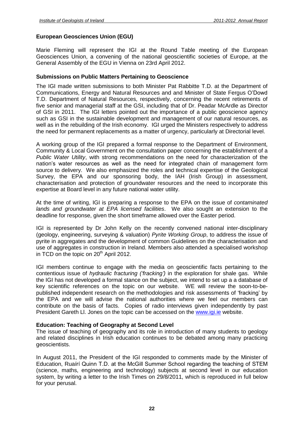#### **European Geosciences Union (EGU)**

Marie Fleming will represent the IGIat the Round Table meeting of the European Geosciences Union, a convening of the national geoscientific societies of Europe, at the General Assembly of the EGU in Vienna on 23rd April 2012.

#### **Submissions on Public Matters Pertaining to Geoscience**

The IGI made written submissions to both Minister Pat Rabbitte T.D. at the Department of Communications, Energy and Natural Resources and and Minister of State Fergus <sup>O</sup>íDowd T.D. Department of Natural Resources, respectively, concerning the recent retirements of five senior and managerial staff at the GSI, including that of Dr. Peadar McArdle as Director of GSI in 2011. The IGI letters pointed out the importance of a public geoscience agency such as GSI in the sustainable development and management of our natural resources, as well as in the rebuilding of the Irish economy. IGI urged the Ministers respectively to address the need for permanent replacements as a matter of urgency, particularly at Directorial level.

A working group of the IGI prepared a formal response to the Department of Environment, Community & Local Government on the consultation paper concerning the establishment of a Public Water Utility, with strong recommendations on the need for characterization of the nation is a community & Local Government on the consultation paper concerning the establishment of a<br>*Public Water Utility*, with strong recommendations on the need for characterization of the<br>nation's water resources as w source to delivery. We also emphasized the roles and technical expertise of the Geological Survey, the EPA and our sponsoring body, the IAH (Irish Group) in assessment, characterisation and protection of groundwater resources and the need to incorporate this expertise at Board level in any future national water utility.

At the time of writing, IGI is preparing a response to the EPA on the issue of contaminated lands and groundwater at EPA licensed facilities. We also sought an extension to the deadline for response, given the short timeframe allowed over the Easter period.

IGI is represented by Dr John Kelly on the recently convened national inter-disciplinary (geology, engineering, surveying & valuation) Pyrite Working Group, to address the issue of pyrite in aggregates and the development of common Guidelines on the characterisation and use of aggregates in construction in Ireland. Members also attended a specialised workshop in TCD on the topic on 20<sup>th</sup> April 2012.

IGI members continue to engage with the media on geoscientific facts pertaining to the in 1999 on the topic on 2017, pm 2012.<br>IGI members continue to engage with the media on geoscientific facts pertaining to the<br>contentious issue of *hydraulic fracturing ('fracking')* in the exploration for shale gas. While the IGI has not developed a formal stance on the subject, we intend to set up a a database of key scientific references on the topic on our website. WE will review the soon-to-be published independent research on the methodologies and risk assessments of 'fracking' by scientific references on the topic on our website. WE will review the soon-to-be-<br>published independent research on the methodologie the EPA and we will advise the national authorities where we feel our members can contribute on the basis of facts. Copies of radio interviews given independently by past President Gareth Ll. Jones on the topic can be accessed on the [www.igi.ie](http://www.igi.ie) website.

#### **Education: Teaching of Geography at Second Level**

The issue of teaching of geography and its role in introduction of many students to geology and related disciplines in Irish education continues to be debated among many practicing geoscientists.

In August 2011, the President of the IGI responded to comments made by the Minister of gecommings:<br>In August 2011, the President of the IGI responded to comments made by the Minister of<br>Education, Ruaírí Quinn T.D. at the McGill Summer School regarding the teaching of STEM (science, maths, engineering and technology) subjects at second level in our education system, by writing a letter to the Irish Times on 29/8/2011, which is reproduced in full below for your perusal.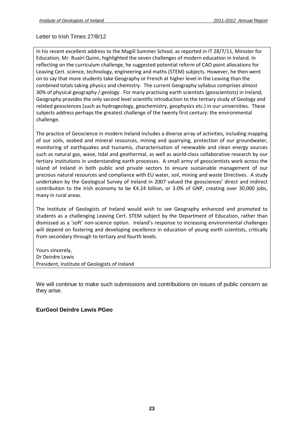Letter to Irish Times 27/8/12

nstitute of Geologists of Ireland<br>tter to Irish Times 27/8/12<br>his recent excellent address to the Magill Summer School, as reported in IT 28/7/11. Minister for Geologists of Ireland<br>
Subsettional Report<br>
Subsettional Report<br>
Interaction in Iteland. In Mr. Ruairí Quinn, highlighted the seven challenges of modern education in Ireland. In on the curriculum challenges of the curriculum challenges.<br>
Letter to Irish Times 27/8/12<br>
In his recent excellent address to the Magill Summer School, as reported in IT 28/7/11, Minister for<br>
Education, Mr. Ruairí Quinn, Chrish Times 27/8/12<br>Cent excellent address to the Magill Summer School, as reported in IT 28/7/11, Minister for<br>On, Mr. Ruaírí Quinn, highlighted the seven challenges of modern education in Ireland. In<br>Leg on the curricul tter to Irish Times 27/8/12<br>
is recent excellent address to the Magill Summer School, as reported in IT 28/7/11, Minister for<br>
ucation, Mr. Ruaírí Quinn, highlighted the seven challenges of modern education in Ireland. In<br> nt excellent address to the Magill Summer School, as reported in IT 28/7/11, Minister for<br>Mr. Ruaírí Quinn, highlighted the seven challenges of modern education in Ireland. In<br>on the curriculum challenge, he suggested pote In his recent excellent address to the Magill Summer School, as reported in IT 28/7/11, Minister for In his recent excellent address to the Magill Summer School, as reported in IT 28/7/11, Minister for<br>Education, Mr. Ruaírí Quinn, highlighted the seven challenges of modern education in Ireland. In<br>reflecting on the curric provides the only second level scientific introduction to the tertiary study of Geology and<br>provides the ourical science, technology, engineering and maths (STEM) subjects. However, he then went<br>at more students take Geogr urreren<br>reflecti by on the curriculum challenge, he suggested potential reform of CAO point allocations for<br>Cert. science, technology, engineering and maths (STEM) subjects. However, he then went<br>y that more students take Geography or Fren subjects address perhaps the greatest challenge of the twenty first century: the environmental<br>subjects. However, he then went<br>on to say that more students take Geography or French at higher level in the Leaving than the<br>c on to say that more students take Geography or French at higher level in the Leaving than the 30% of physica<br>Geography pro<br>related geoscie<br>subjects addre<br>challenge. of physical geography / geology. For many practising earth scientists (geoscientists) in Ireland,<br>graphy provides the only second level scientific introduction to the tertiary study of Geology and<br>red geosciences (such as 30% of physical geography / geology. For many practising earth scientists (geoscientists) in Ireland,<br>Geography provides the only second level scientific introduction to the tertiary study of Geology and Geography provides the only second level scientific introduction to the tertiary study of Geology and<br>related geosciences (such as hydrogeology, geochemistry, geophysics etc.) in our universities. These<br>subjects address pe isciences (such as hydrogeology, geochemistry, geophysics etc.) in our universities. These<br>dress perhaps the greatest challenge of the twenty first century: the environmental<br>of Geoscience in modern Ireland includes a dive ت<br>auhir challenge. island

as address perhaps the greatest challenge of the twenty first century: the environmental<br>enge.<br>The section of Geoscience in modern Ireland includes a diverse array of activities, including mapping<br>ar soils, seabed and mine institutions in understanding earth processes. A small army of activities, including mapping<br>institutions in understanding earth processes. A small army of geoscientists work across the<br>institutions in understanding earth of Geoscience in modern Ireland includes a diverse array of activities, including mapping<br>soils, seabed and mineral resources, mining and quarrying, protection of our groundwater,<br>ring of earthquakes and tsunamis, characte The proc ice of Geoscience in modern Ireland includes a diverse array of activities, including mapping<br>ills, seabed and mineral resources, mining and quarrying, protection of our groundwater,<br>ng of earthquakes and tsunamis, charact of our soils, seabed and mineral resources, mining and quarrying, protection of our groundwater,<br>monitoring of earthquakes and tsunamis, characterisation of renewable and clean energy sources<br>such as natural gas, wave, tid monitoring of earthquakes and tsunamis, characterisation of renewable and clean energy sources to the Irish economy of earthquakes and tsunamis, characterisation of renewable and clean energy sources such as natural gas, wave, tidal and geothermal, as well as world-class collaborative research by our tertiary insti such as natural gas, wave<br>tertiary institutions in unisland of Ireland in bor<br>precious natural resource<br>undertaken by the Geol<br>contribution to the Irish<br>many in rural areas. Institute of Geologists of Ireland would wish to see Geography enhanced and promoted to<br>Institute of Geologists of Ireland would wish to see Geography enhanced and promoted to<br>Institute of Geologists of Ireland would wish precious natural resources and compliance with EU water, soil, mining and waste Directives. A study as a challenging Leaving Cert. STEM subject by the Department of Education, rather than and was a challenging Leaving Cert. STEM subject by the Department of Education, rather than as a challenging Leaving Cert. STEM subj undertaken by the Geological Survey of Ireland in 2007 valued the geosciences' direct and indirect as a the Geological Survey of Ireland in 2007 valued the geosciences' direct and indirect<br>on to the Irish economy to be  $\epsilon$ 4.24 billion, or 3.0% of GNP, creating over 30,000 jobs,<br>ral areas.<br>ate of Geologists of Ireland contribution to the Irish economy to be  $£4.24$  billion, or 3.0% of GNP, creating over 30,000 jobs, many in rural areas.

Tribution to the Irish economy to be  $\epsilon$ 4.24 billion, or 3.0% of GNP, creating over 30,000 jobs,<br>y in rural areas.<br>Institute of Geologists of Ireland would wish to see Geography enhanced and promoted to<br>ents as a challen secondary to the tertiary of the Charlottery, and<br>The Institute of Geologists of Ireland would wish to secondary<br>students as a challenging Leaving Cert. STEM subject by<br>dismissed as a 'soft' non-science option. Ireland's r The Institute of Ge<br>students as a challe<br>dismissed as a 'soft'<br>will depend on fost<br>from secondary thro<br>Yours sincerelv. Financials a challengin<br>
dents as a 'soft' no<br>
I depend on fosterin<br>
m secondary through<br>
urs sincerely,<br>
Deirdre Lewis Presidente<br>Presidente as a "soft" non-science option. Ireland's research of State of State of Geologies and fourth levels<br>and on fostering and developing excellence<br>hary through to tertiary and fourth levels<br>erely,<br>lewis<br>Institute of Geologists

We will continue to make such submissions and contributions on issues of public concern as they arise.

#### **EurGeol Deirdre Lewis PGeo**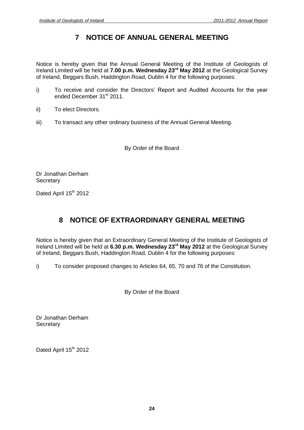# **7 NOTICE OF ANNUAL GENERAL MEETING**

Notice is hereby given that the Annual General Meeting of the Institute of Geologists of Ireland Limited will be held at **7.00 p.m. Wednesday 23 rd May 2012** at the Geological Survey of Ireland, Beggars Bush, Haddington Road, Dublin 4 for the following purposes:

- i) To receive and consider the Directors' Report and Audited Accounts for the year ended December 31<sup>st</sup> 2011.
- ii) To elect Directors.
- iii) To transact any other ordinary business of the Annual General Meeting.

By Order of the Board

Dr Jonathan Derham **Secretary** 

Dated April 15<sup>th</sup> 2012

## **8 NOTICE OF EXTRAORDINARY GENERAL MEETING**

Notice is hereby given that an Extraordinary General Meeting of the Institute of Geologists of Ireland Limited will be held at **6.30 p.m. Wednesday 23 rd May 2012** at the Geological Survey of Ireland, Beggars Bush, Haddington Road, Dublin 4 for the following purposes:

i) To consider proposed changes to Articles 64,65, 70 and 76 of the Constitution.

By Order of the Board

Dr Jonathan Derham **Secretary** 

Dated April 15<sup>th</sup> 2012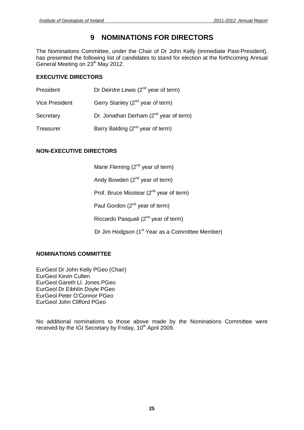# **9 NOMINATIONS FOR DIRECTORS**

The Nominations Committee, under the Chair of Dr John Kelly (immediate Past-President), has presented the following list of candidates to stand for election at the forthcoming Annual General Meeting on 23<sup>th</sup> May 2012.

#### **EXECUTIVE DIRECTORS**

| President             | Dr Deirdre Lewis $(2^{nd}$ year of term)     |
|-----------------------|----------------------------------------------|
| <b>Vice President</b> | Gerry Stanley (2 <sup>nd</sup> year of term) |
| Secretary             | Dr. Jonathan Derham $(2^{nd}$ year of term)  |
| Treasurer             | Barry Balding (2 <sup>nd</sup> year of term) |

#### **NON-EXECUTIVE DIRECTORS**

Marie Fleming (2<sup>nd</sup> year of term)

Andy Bowden (2<sup>nd</sup> year of term)

Prof. Bruce Misstear (2<sup>nd</sup> year of term)

Paul Gordon (2<sup>nd</sup> year of term)

Riccardo Pasquali (2<sup>nd</sup> year of term)

Dr Jim Hodgson (1<sup>st</sup> Year as a Committee Member)

#### **NOMINATIONS COMMITTEE**

EurGeol Dr John Kelly PGeo (Chair) EurGeol Kevin Cullen EurGeol Gareth Ll. Jones PGeo EurGeol Kevin Cullen<br>EurGeol Kevin Cullen<br>EurGeol Gareth Ll. Jones PGeo<br>EurGeol Dr Eibhlín Doyle PGeo EurGeol Gareth Ll. Jones PGeo<br>EurGeol Dr Eibhlín Doyle PGeo<br>EurGeol Peter O'Connor PGeo EurGeol John Clifford PGeo

No additional nominations to those above made by the Nominations Committee were received by the IGI Secretary by Friday, 10<sup>th</sup> April 2009.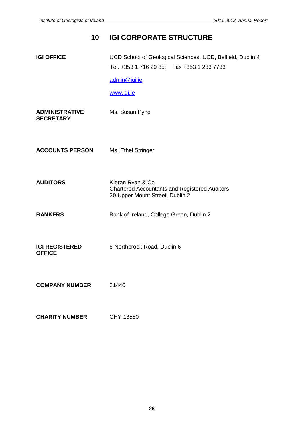# **10 IGI CORPORATE STRUCTURE IGI OFFICE** UCD School of Geological Sciences, UCD, Belfield, Dublin 4 Tel. +353 1 716 20 85; Fax +353 1 283 7733 [admin@igi.ie](mailto:admin@igi.ie) [www.igi.ie](http://www.igi.ie) **ADMINISTRATIVE** Ms. Susan Pyne **SECRETARY ACCOUNTS PERSON** Ms. Ethel Stringer **AUDITORS** Kieran Ryan & Co. Chartered Accountants and Registered Auditors 20 Upper Mount Street, Dublin 2 **BANKERS** Bank of Ireland, College Green, Dublin 2 **IGI REGISTERED** 6 Northbrook Road, Dublin 6 **OFFICE COMPANY NUMBER** 31440 **CHARITY NUMBER** CHY 13580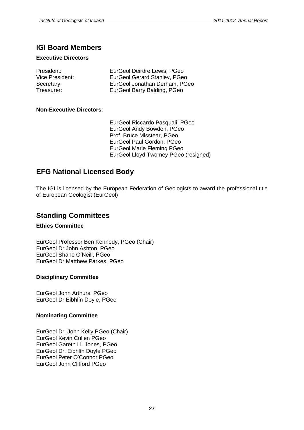## **IGI Board Members**

#### **Executive Directors**

| President:      | EurGeol Deirdre Lewis, PGeo   |
|-----------------|-------------------------------|
| Vice President: | EurGeol Gerard Stanley, PGeo  |
| Secretary:      | EurGeol Jonathan Derham, PGeo |
| Treasurer:      | EurGeol Barry Balding, PGeo   |

#### **Non-Executive Directors**:

EurGeol Riccardo Pasquali, PGeo EurGeol Andy Bowden, PGeo Prof. Bruce Misstear, PGeo EurGeol Paul Gordon, PGeo EurGeol Marie Fleming PGeo EurGeol Lloyd Twomey PGeo (resigned)

## **EFG National Licensed Body**

The IGI is licensed by the European Federation of Geologists to award the professional title of European Geologist (EurGeol)

### **Standing Committees**

#### **Ethics Committee**

EurGeol Professor Ben Kennedy, PGeo (Chair) EurGeol Shane <sup>O</sup>íNeill, PGeo EurGeol Dr John Ashton, PGeo EurGeol Dr Matthew Parkes, PGeo

#### **Disciplinary Committee**

EurGeol John Arthurs, PGeo EurGeol Dr Eibhlín Doyle, PGeo

#### **Nominating Committee**

EurGeol Dr. John Kelly PGeo (Chair) EurGeol Kevin Cullen PGeo EurGeol Gareth Ll. Jones, PGeo EurGeol Kevin Cullen PGeo<br>EurGeol Kevin Cullen PGeo<br>EurGeol Dr. Eibhlín Doyle PGeo EurGeol Gareth Ll. Jones, PGeo<br>EurGeol Dr. Eibhlín Doyle PGeo<br>EurGeol Peter O'Connor PGeo EurGeol John Clifford PGeo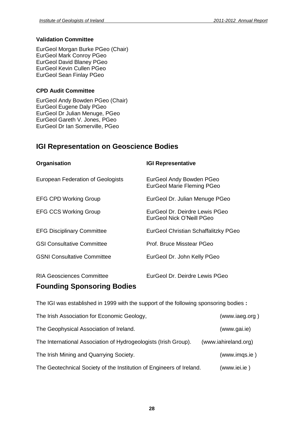#### **Validation Committee**

EurGeol Morgan Burke PGeo (Chair) EurGeol Mark Conroy PGeo EurGeol David Blaney PGeo EurGeol Kevin Cullen PGeo EurGeol Sean Finlay PGeo

#### **CPD Audit Committee**

EurGeol Andy Bowden PGeo (Chair) EurGeol Eugene Daly PGeo EurGeol Dr Julian Menuge, PGeo EurGeol Gareth V. Jones, PGeo EurGeol Dr Ian Somerville, PGeo

# **IGI Representation on Geoscience Bodies**

| Organisation                       | <b>IGI Representative</b>                                     |
|------------------------------------|---------------------------------------------------------------|
| European Federation of Geologists  | EurGeol Andy Bowden PGeo<br><b>EurGeol Marie Fleming PGeo</b> |
| <b>EFG CPD Working Group</b>       | EurGeol Dr. Julian Menuge PGeo                                |
| <b>EFG CCS Working Group</b>       | EurGeol Dr. Deirdre Lewis PGeo<br>EurGeol Nick O'Neill PGeo   |
| <b>EFG Disciplinary Committee</b>  | EurGeol Christian Schaffalitzky PGeo                          |
| <b>GSI Consultative Committee</b>  | Prof. Bruce Misstear PGeo                                     |
| <b>GSNI Consultative Committee</b> | EurGeol Dr. John Kelly PGeo                                   |
| RIA Geosciences Committee          | EurGeol Dr. Deirdre Lewis PGeo                                |

## **Founding Sponsoring Bodies**

The IGI was established in 1999 with the support of the following sponsoring bodies **:**

| The Irish Association for Economic Geology,                          | (www.iaeg.org)       |
|----------------------------------------------------------------------|----------------------|
| The Geophysical Association of Ireland.                              | (www.gai.ie)         |
| The International Association of Hydrogeologists (Irish Group).      | (www.iahireland.org) |
| The Irish Mining and Quarrying Society.                              | (www.imgs.ie)        |
| The Geotechnical Society of the Institution of Engineers of Ireland. | (www.iei.ie)         |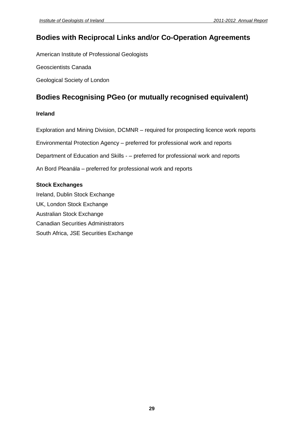## **Bodies with Reciprocal Links and/or Co-Operation Agreements**

American Institute of Professional Geologists

Geoscientists Canada

Geological Society of London

# **Bodies Recognising PGeo (or mutually recognised equivalent)**

#### **Ireland**

**Ireland**<br>Exploration and Mining Division, DCMNR – required for prospecting licence work reports Exploration and Mining Division, DCMNR – required for prospecting licence work report<br>Environmental Protection Agency – preferred for professional work and reports Environmental Protection Agency – preferred for professional work and reports<br>Department of Education and Skills - – preferred for professional work and reports Department of Education and Skills - – preferred for professional work a<br>An Bord Pleanála – preferred for professional work and reports

#### **Stock Exchanges**

Ireland, Dublin Stock Exchange UK, London Stock Exchange Australian Stock Exchange Canadian Securities Administrators South Africa, JSE Securities Exchange